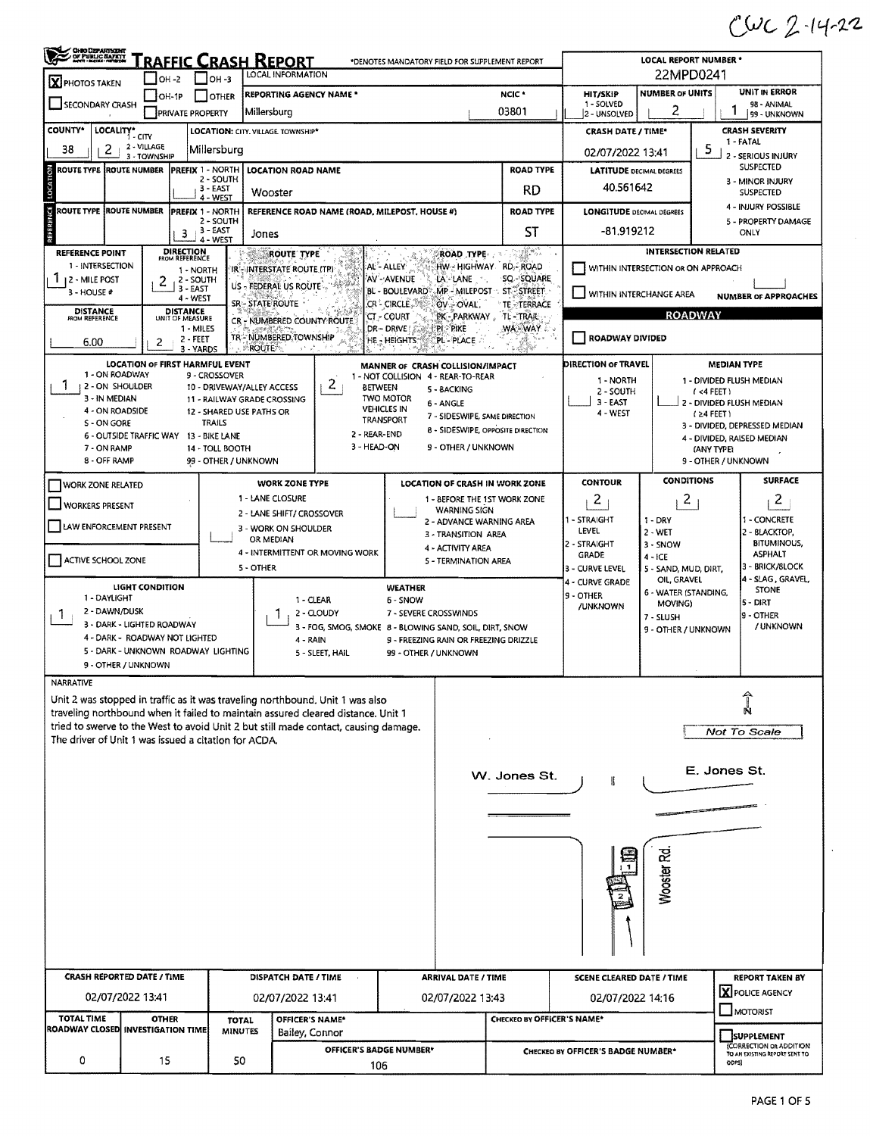## $CUC$  2-14-22

 $\sim$ 

| <b>CHRO DEPARTMENT</b><br>OF PUBLIC BAYETY    | <u>RAFFIC CRASH REPORT</u>                           |                                                           |                                                                                     | LOCAL REPORT NUMBER *<br>22MPD0241                                               |                                          |                                                                                              |                             |                                                          |  |  |
|-----------------------------------------------|------------------------------------------------------|-----------------------------------------------------------|-------------------------------------------------------------------------------------|----------------------------------------------------------------------------------|------------------------------------------|----------------------------------------------------------------------------------------------|-----------------------------|----------------------------------------------------------|--|--|
| X PHOTOS TAKEN                                | I OH -2                                              | $ OH - 3 $                                                | LOCAL INFORMATION                                                                   |                                                                                  |                                          |                                                                                              |                             |                                                          |  |  |
| SECONDARY CRASH                               | OH-1P                                                | <b>OTHER</b>                                              | <b>REPORTING AGENCY NAME *</b>                                                      |                                                                                  | NCIC <sup>*</sup>                        | <b>HIT/SKIP</b><br>1 - SOLVED                                                                | <b>NUMBER OF UNITS</b>      | <b>UNIT IN ERROR</b><br>98 - ANIMAL                      |  |  |
|                                               | <b>PRIVATE PROPERTY</b>                              |                                                           | Millersburg                                                                         |                                                                                  | 03801                                    | 2 - UNSOLVED                                                                                 | 2                           | 199 - UNKNOWN                                            |  |  |
| <b>COUNTY*</b><br>LOCALITY*                   | i - city                                             |                                                           | LOCATION: CITY. VILLAGE TOWNSHIP*                                                   |                                                                                  |                                          | <b>CRASH DATE / TIME*</b>                                                                    | <b>CRASH SEVERITY</b>       |                                                          |  |  |
| 2<br>38                                       | 2 - VILLAGE<br>3 - TOWNSHIP                          | Millersburg                                               |                                                                                     | 02/07/2022 13:41                                                                 |                                          | 1 - FATAL<br>5<br>2 - SERIOUS INJURY                                                         |                             |                                                          |  |  |
| <b>ROUTE TYPE ROUTE NUMBER</b>                |                                                      | <b>PREFIX 1 NORTH</b>                                     | <b>LOCATION ROAD NAME</b>                                                           |                                                                                  | <b>ROAD TYPE</b>                         | <b>LATITUDE DECIMAL DEGREES</b>                                                              |                             | <b>SUSPECTED</b>                                         |  |  |
| LOCATION                                      |                                                      | 2 - SOUTH<br>3 - EAST                                     |                                                                                     |                                                                                  | RD                                       | 40.561642                                                                                    |                             | 3 - MINOR INJURY<br><b>SUSPECTED</b>                     |  |  |
|                                               |                                                      | 4 - WEST                                                  | Wooster                                                                             |                                                                                  |                                          |                                                                                              |                             | 4 - INJURY POSSIBLE                                      |  |  |
| $\frac{1}{2}$<br>ROUTE TYPE ROUTE NUMBER      |                                                      | <b>PREFIX 1 - NORTH</b><br>2 - SOUTH                      | REFERENCE ROAD NAME (ROAD, MILEPOST, HOUSE #)                                       |                                                                                  | <b>ROAD TYPE</b>                         | <b>LONGITUDE DECIMAL DEGREES</b><br>5 - PROPERTY DAMAGE                                      |                             |                                                          |  |  |
| REFEREM                                       | з                                                    | $3 - EAST$<br>4 - WEST                                    | Jones                                                                               |                                                                                  | ST                                       | -81.919212<br>ONLY                                                                           |                             |                                                          |  |  |
| <b>REFERENCE POINT</b>                        | <b>DIRECTION</b><br>FROM REFERENCE                   |                                                           | ROUTE TYPE                                                                          | <b>ROAD TYPE AND</b>                                                             | 79. Y                                    |                                                                                              | <b>INTERSECTION RELATED</b> |                                                          |  |  |
| 1 - INTERSECTION                              | 1 - NORTH                                            |                                                           | AL - ALLEY<br>IR - INTERSTATE ROUTE (TP)                                            | HW - HIGHWAY RD - ROAD<br>SQ - SQUARE                                            |                                          | WITHIN INTERSECTION OR ON APPROACH                                                           |                             |                                                          |  |  |
| 1 12 - MILE POST<br>3 - HOUSE #               | 2 - SOUTH<br>2<br>3 - EAST                           |                                                           | US - FEDERAL US ROUTE                                                               | AV - AVENUE<br>LA LANE<br>BL - BOULEVARD - MP - MILEPOST - ST. STREET.           |                                          | WITHIN INTERCHANGE AREA                                                                      |                             | <b>NUMBER OF APPROACHES</b>                              |  |  |
| <b>DISTANCE</b>                               | 4 - WEST<br><b>DISTANCE</b>                          |                                                           | SR-STATE ROUTE                                                                      | CR - CIRCLE<br>OV OVAL                                                           | TE TERRACE                               |                                                                                              |                             |                                                          |  |  |
| <b>FROM REFERENCE</b>                         | UNIT OF MEASURE<br>1 - MILES                         |                                                           | CR - NUMBERED COUNTY ROUTE                                                          | CT - COURT<br>PI PIKE<br>DR-DRIVE                                                | PK - PARKWAY, TL - TRAIL<br>WA-WAY       |                                                                                              | <b>ROADWAY</b>              |                                                          |  |  |
| 6.00                                          | 2 - FEET<br>2<br>3 - YARDS                           |                                                           | TR-NUMBERED.TOWNSHIP<br><b>ROUTE</b><br>$\lambda^{\rm (A)}$ , $\mu^{\rm (B)}$       | HE-HEIGHTS:<br>PL PLACE                                                          | $\pi \propto \beta^2$                    | ROADWAY DIVIDED                                                                              |                             |                                                          |  |  |
|                                               | LOCATION OF FIRST HARMFUL EVENT                      |                                                           |                                                                                     | MANNER OF CRASH COLLISION/IMPACT                                                 |                                          | DIRECTION OF TRAVEL                                                                          |                             | <b>MEDIAN TYPE</b>                                       |  |  |
| 1 - ON ROADWAY                                |                                                      | 9 - CROSSOVER                                             |                                                                                     | 1 - NOT COLLISION 4 - REAR-TO-REAR                                               |                                          | 1 - NORTH                                                                                    |                             | 1 - DIVIDED FLUSH MEDIAN                                 |  |  |
| L<br><b>12 - ON SHOULDER</b><br>3 - IN MEDIAN |                                                      | 10 - DRIVEWAY/ALLEY ACCESS<br>11 - RAILWAY GRADE CROSSING | 2                                                                                   | <b>BETWEEN</b><br>5 - BACKING<br>TWO MOTOR                                       |                                          | 2 - SOUTH                                                                                    |                             | (4 FEE)                                                  |  |  |
| 4 - ON ROADSIDE                               |                                                      | 12 - SHARED USE PATHS OR                                  |                                                                                     | 6 - ANGLE<br><b>VEHICLES IN</b>                                                  | 7 - SIDESWIPE, SAME DIRECTION            | $3 - EAST$<br>4 - WEST                                                                       |                             | 2 - DIVIDED FLUSH MEDIAN<br>$(24$ FEET)                  |  |  |
| S - ON GORE                                   |                                                      | TRAILS                                                    | 2 - REAR-END                                                                        | TRANSPORT                                                                        | <b>8 - SIDESWIPE, OPPOSITE DIRECTION</b> |                                                                                              |                             | 3 - DIVIDED, DEPRESSED MEDIAN                            |  |  |
| 7 - ON RAMP                                   | 6 - OUTSIDE TRAFFIC WAY 13 - BIKE LANE               | 14 - TOLL BOOTH                                           | 3 - HEAD-ON                                                                         | 9 - OTHER / UNKNOWN                                                              |                                          |                                                                                              |                             | 4 - DIVIDED, RAISED MEDIAN<br>(ANY TYPE)                 |  |  |
| 8 - OFF RAMP                                  |                                                      | 99 - OTHER / UNKNOWN                                      |                                                                                     |                                                                                  |                                          |                                                                                              | 9 - OTHER / UNKNOWN         |                                                          |  |  |
| <b>WORK ZONE RELATED</b>                      |                                                      |                                                           | <b>WORK ZONE TYPE</b>                                                               | <b>LOCATION OF CRASH IN WORK ZONE</b>                                            |                                          | <b>CONTOUR</b>                                                                               | <b>CONDITIONS</b>           | <b>SURFACE</b>                                           |  |  |
| <b>WORKERS PRESENT</b>                        |                                                      |                                                           | 1 - LANE CLOSURE                                                                    |                                                                                  | 1 - BEFORE THE 1ST WORK ZONE             | $\overline{c}$                                                                               | $\overline{a}$              | $\mathbf{Z}$                                             |  |  |
|                                               |                                                      |                                                           | 2 - LANE SHIFT/ CROSSOVER                                                           | <b>WARNING SIGN</b>                                                              | 2 - ADVANCE WARNING AREA                 | - STRAIGHT                                                                                   | $1 - DRY$                   | 1 - CONCRETE                                             |  |  |
| LAW ENFORCEMENT PRESENT                       |                                                      |                                                           | 3 - WORK ON SHOULDER<br>OR MEDIAN                                                   | 3 - TRANSITION AREA                                                              |                                          | LEVEL                                                                                        | $2 - WET$                   | 2 - BLACKTOP,                                            |  |  |
|                                               |                                                      |                                                           | 4 - INTERMITTENT OR MOVING WORK                                                     | 4 - ACTIVITY AREA                                                                |                                          | 2 - STRAIGHT<br><b>GRADE</b>                                                                 | 3 - SNOW<br>$4 - ICE$       | <b>BITUMINOUS,</b><br><b>ASPHALT</b>                     |  |  |
| ACTIVE SCHOOL ZONE                            |                                                      |                                                           | 5 - OTHER                                                                           | 5 - TERMINATION AREA                                                             |                                          | 3 - CURVE LEVEL                                                                              | 5 - SAND, MUD, DIRT,        | 3 - BRICK/SLOCK                                          |  |  |
|                                               | <b>LIGHT CONDITION</b>                               |                                                           |                                                                                     | WEATHER                                                                          |                                          | 4 - SLAG , GRAVEL,<br>OIL, GRAVEL<br>4 - CURVE GRADE<br><b>STONE</b><br>6 - WATER (STANDING, |                             |                                                          |  |  |
| 1 - DAYLIGHT<br>2 - DAWN/DUSK                 |                                                      |                                                           | 1 - CLEAR                                                                           | 6 - SNOW                                                                         |                                          | 9 - OTHER<br><b>/UNKNOWN</b>                                                                 | MOVING)                     | $5 - DIRT$                                               |  |  |
| Т.                                            | 3 - DARK - LIGHTED ROADWAY                           |                                                           | 2 - CLOUDY                                                                          | 7 - SEVERE CROSSWINDS<br>3 - FOG, SMOG, SMOKE 8 - BLOWING SAND, SOIL, DIRT, SNOW |                                          |                                                                                              | 7 - SLUSH                   | 9 - OTHER<br>/ UNKNOWN                                   |  |  |
|                                               | 4 - DARK - ROADWAY NOT LIGHTED                       |                                                           | 4 - RAIN                                                                            | 9 - FREEZING RAIN OR FREEZING DRIZZLE                                            |                                          | 9 - OTHER / UNKNOWN                                                                          |                             |                                                          |  |  |
|                                               | 5 - DARK - UNKNOWN ROADWAY LIGHTING                  |                                                           | 5 - SLEET, HAIL                                                                     | 99 - OTHER / UNKNOWN                                                             |                                          |                                                                                              |                             |                                                          |  |  |
|                                               | 9 - OTHER / UNKNOWN                                  |                                                           |                                                                                     |                                                                                  |                                          |                                                                                              |                             |                                                          |  |  |
| <b>NARRATIVE</b>                              |                                                      |                                                           | Unit 2 was stopped in traffic as it was traveling northbound. Unit 1 was also       |                                                                                  |                                          |                                                                                              |                             |                                                          |  |  |
|                                               |                                                      |                                                           | traveling northbound when it failed to maintain assured cleared distance. Unit 1    |                                                                                  |                                          |                                                                                              |                             |                                                          |  |  |
|                                               |                                                      |                                                           | tried to swerve to the West to avoid Unit 2 but still made contact, causing damage. |                                                                                  | Not To Scale                             |                                                                                              |                             |                                                          |  |  |
|                                               | The driver of Unit 1 was issued a citation for ACDA. |                                                           |                                                                                     |                                                                                  |                                          |                                                                                              |                             |                                                          |  |  |
|                                               |                                                      |                                                           |                                                                                     |                                                                                  |                                          |                                                                                              |                             | E. Jones St.                                             |  |  |
|                                               |                                                      |                                                           |                                                                                     |                                                                                  | W. Jones St.                             |                                                                                              |                             |                                                          |  |  |
|                                               |                                                      |                                                           |                                                                                     |                                                                                  |                                          |                                                                                              |                             |                                                          |  |  |
|                                               |                                                      |                                                           |                                                                                     |                                                                                  |                                          |                                                                                              |                             |                                                          |  |  |
|                                               |                                                      |                                                           |                                                                                     |                                                                                  |                                          |                                                                                              |                             |                                                          |  |  |
|                                               |                                                      |                                                           |                                                                                     |                                                                                  |                                          |                                                                                              |                             |                                                          |  |  |
|                                               |                                                      |                                                           |                                                                                     |                                                                                  |                                          |                                                                                              |                             |                                                          |  |  |
|                                               |                                                      |                                                           |                                                                                     |                                                                                  |                                          |                                                                                              | Wooster Rd                  |                                                          |  |  |
|                                               |                                                      |                                                           |                                                                                     |                                                                                  |                                          |                                                                                              |                             |                                                          |  |  |
|                                               |                                                      |                                                           |                                                                                     |                                                                                  |                                          |                                                                                              |                             |                                                          |  |  |
|                                               |                                                      |                                                           |                                                                                     |                                                                                  |                                          |                                                                                              |                             |                                                          |  |  |
|                                               |                                                      |                                                           |                                                                                     |                                                                                  |                                          |                                                                                              |                             |                                                          |  |  |
|                                               | <b>CRASH REPORTED DATE / TIME</b>                    |                                                           | DISPATCH DATE / TIME                                                                | <b>ARRIVAL DATE / TIME</b>                                                       |                                          | <b>SCENE CLEARED DATE / TIME</b>                                                             |                             | REPORT TAKEN BY                                          |  |  |
|                                               | 02/07/2022 13:41                                     |                                                           | 02/07/2022 13:41                                                                    | 02/07/2022 13:43                                                                 |                                          | 02/07/2022 14:16                                                                             |                             | X POLICE AGENCY                                          |  |  |
| <b>TOTAL TIME</b>                             | <b>OTHER</b>                                         | <b>TOTAL</b>                                              | OFFICER'S NAME*                                                                     |                                                                                  | CHECKED BY OFFICER'S NAME*               |                                                                                              |                             | MOTORIST                                                 |  |  |
|                                               | ROADWAY CLOSED INVESTIGATION TIME!                   | <b>MINUTES</b>                                            | Bailey, Connor                                                                      |                                                                                  |                                          |                                                                                              |                             | <b>SUPPLEMENT</b>                                        |  |  |
|                                               |                                                      |                                                           | OFFICER'S BADGE NUMBER*                                                             |                                                                                  |                                          | CHECKED BY OFFICER'S BADGE NUMBER*                                                           |                             | (CORRECTION OR ADDITION<br>TO AN EXISTING REPORT SENT TO |  |  |
| 0<br>15<br>50<br>106                          |                                                      |                                                           |                                                                                     |                                                                                  | ODPS)                                    |                                                                                              |                             |                                                          |  |  |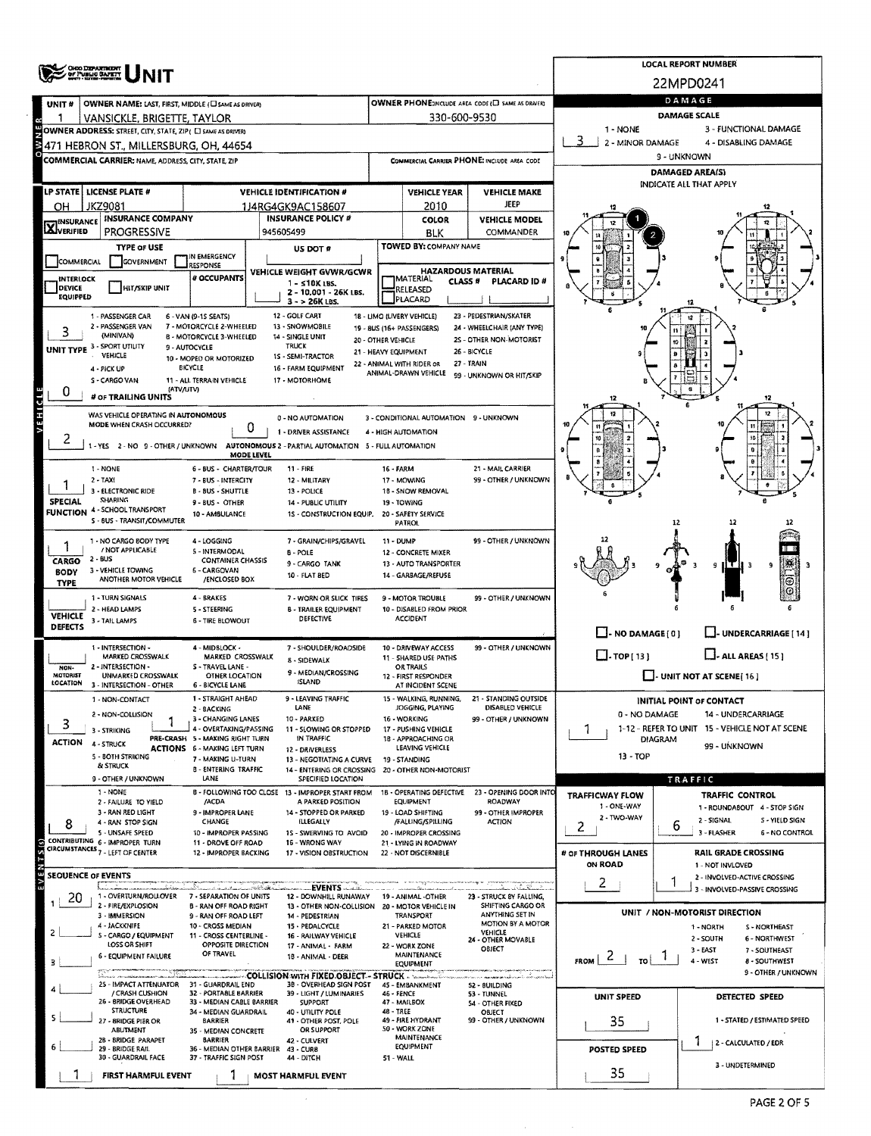|                                  | <b>OHIO DEPARTMENT</b><br>OF PUBLIC BAPETY                                                    |                                                                        | <b>LOCAL REPORT NUMBER</b>                                                               |                                                                               |                                               |                                              |                                                                   |                      |                                                                      |  |  |  |
|----------------------------------|-----------------------------------------------------------------------------------------------|------------------------------------------------------------------------|------------------------------------------------------------------------------------------|-------------------------------------------------------------------------------|-----------------------------------------------|----------------------------------------------|-------------------------------------------------------------------|----------------------|----------------------------------------------------------------------|--|--|--|
|                                  |                                                                                               |                                                                        |                                                                                          | 22MPD0241                                                                     |                                               |                                              |                                                                   |                      |                                                                      |  |  |  |
| UNIT#                            | OWNER NAME: LAST, FIRST, MIDDLE (C) SAME AS DRIVER)                                           |                                                                        | DAMAGE                                                                                   |                                                                               |                                               |                                              |                                                                   |                      |                                                                      |  |  |  |
|                                  | VANSICKLE, BRIGETTE, TAYLOR                                                                   |                                                                        |                                                                                          |                                                                               | 330-600-9530                                  |                                              |                                                                   |                      | <b>DAMAGE SCALE</b>                                                  |  |  |  |
|                                  | OWNER ADDRESS: STREET, CITY, STATE, ZIP( C) SAME AS DRIVER)                                   |                                                                        |                                                                                          | 1 - NONE<br>3 - FUNCTIONAL DAMAGE<br>2 - MINOR DAMAGE<br>4 - DISABLING DAMAGE |                                               |                                              |                                                                   |                      |                                                                      |  |  |  |
|                                  | 471 HEBRON ST., MILLERSBURG, OH, 44654<br>COMMERCIAL CARRIER: NAME, ADDRESS, CITY, STATE, ZIP |                                                                        |                                                                                          |                                                                               |                                               | COMMERCIAL CARRIER PHONE: INCLUDE AREA CODE  | 9 - UNKNOWN                                                       |                      |                                                                      |  |  |  |
|                                  |                                                                                               |                                                                        |                                                                                          |                                                                               |                                               |                                              | DAMAGED AREA(S)                                                   |                      |                                                                      |  |  |  |
|                                  | LP STATE   LICENSE PLATE #                                                                    |                                                                        | <b>VEHICLE IDENTIFICATION #</b>                                                          |                                                                               | <b>VEHICLE YEAR</b>                           | <b>VEHICLE MAKE</b>                          | <b>INDICATE ALL THAT APPLY</b>                                    |                      |                                                                      |  |  |  |
| OH                               | JKZ9081                                                                                       |                                                                        | 1J4RG4GK9AC158607                                                                        |                                                                               | 2010                                          | JEEP                                         |                                                                   |                      |                                                                      |  |  |  |
| <b>X</b> INSURANCE               | <b>INSURANCE COMPANY</b><br><b>PROGRESSIVE</b>                                                |                                                                        | <b>INSURANCE POLICY #</b><br>945605499                                                   |                                                                               | COLOR                                         | <b>VEHICLE MODEL</b><br>COMMANDER            |                                                                   |                      |                                                                      |  |  |  |
|                                  | <b>TYPE OF USE</b>                                                                            |                                                                        | US DOT #                                                                                 |                                                                               | BLK<br>TOWED BY: COMPANY NAME                 |                                              |                                                                   |                      |                                                                      |  |  |  |
| <b>COMMERCIAL</b>                | <b>GOVERNMENT</b>                                                                             | IN EMERGENCY<br>RESPONSE                                               |                                                                                          |                                                                               |                                               |                                              |                                                                   |                      |                                                                      |  |  |  |
| INTERLOCK                        |                                                                                               | # OCCUPANTS                                                            | VEHICLE WEIGHT GVWR/GCWR<br>$1 - 510K$ LBS.                                              |                                                                               | MATERIAL<br>CLASS <sup>#</sup>                | <b>HAZARDOUS MATERIAL</b><br>PLACARD ID #    |                                                                   |                      |                                                                      |  |  |  |
| <b>DEVICE</b><br><b>EQUIPPED</b> | HIT/SKIP UNIT                                                                                 |                                                                        | 2 - 10.001 - 26K LBS.<br>3 - > 26K LBS.                                                  |                                                                               | RELEASED<br>PLACARD                           |                                              |                                                                   |                      |                                                                      |  |  |  |
|                                  | 1 - PASSENGER CAR                                                                             | 6 - VAN (9-15 SEATS)                                                   | 12 - GOLF CART                                                                           |                                                                               | 18 - LIMO (LIVERY VEHICLE)                    | 23 - PEDESTRIAN/SKATER                       |                                                                   |                      |                                                                      |  |  |  |
|                                  | 2 - PASSENGER VAN<br>(MINIVAN)                                                                | 7 - MOTORCYCLE 2-WHEELED<br><b>8 - MOTORCYCLE 3-WHEELED</b>            | 13 - SNOWMOBILE<br>14 - SINGLE UNIT                                                      |                                                                               | 19 - 8US (16+ PASSENGERS)                     | 24 - WHEELCHAIR (ANY TYPE)                   |                                                                   |                      |                                                                      |  |  |  |
|                                  | UNIT TYPE 3 - SPORT UTILITY                                                                   | 9 - AUTOCYCLE                                                          | <b>TRUCK</b>                                                                             | 20 - OTHER VEHICLE<br>21 - HEAVY EQUIPMENT                                    |                                               | 2S - OTHER NON-MOTORIST<br>26 - BICYCLE      |                                                                   |                      |                                                                      |  |  |  |
|                                  | VEHICLE<br>4 - PICK UP                                                                        | 10 - MOPED OR MOTORIZED<br>BICYCLE                                     | 1S - SEMI-TRACTOR<br>16 - FARM EQUIPMENT                                                 |                                                                               | 22 - ANIMAL WITH RIDER OR                     | 27 - TRAIN                                   |                                                                   |                      |                                                                      |  |  |  |
|                                  | S - CARGO VAN                                                                                 | 11 - ALL TERRAIN VEHICLE                                               | 17 - MOTORHOME                                                                           |                                                                               | ANIMAL-DRAWN VEHICLE                          | 99 - UNKNOWN OR HIT/SKIP                     |                                                                   |                      |                                                                      |  |  |  |
| VEHICLE<br>0                     | # OF TRAILING UNITS                                                                           | (ATV/UTV)                                                              |                                                                                          |                                                                               |                                               |                                              |                                                                   |                      |                                                                      |  |  |  |
|                                  | WAS VEHICLE OPERATING IN AUTONOMOUS                                                           |                                                                        | 0 - NO AUTOMATION                                                                        |                                                                               | 3 - CONDITIONAL AUTOMATION 9 - UNKNOWN        |                                              |                                                                   |                      |                                                                      |  |  |  |
|                                  | MODE WHEN CRASH OCCURRED?                                                                     | 0                                                                      | 1 - DRIVER ASSISTANCE                                                                    |                                                                               | 4 - HIGH AUTOMATION                           |                                              |                                                                   |                      |                                                                      |  |  |  |
| ۷                                |                                                                                               | MODE LEVEL                                                             | 1 - YES 2 - NO 9 - OTHER / UNKNOWN AUTONOMOUS 2 - PARTIAL AUTOMATION 5 - FULL AUTOMATION |                                                                               |                                               |                                              |                                                                   |                      |                                                                      |  |  |  |
|                                  | 1 - NONE                                                                                      | 6 - BUS - CHARTER/TOUR                                                 | $11 - FIRE$                                                                              | 16 - FARM                                                                     |                                               | 21 - MAIL CARRIER                            |                                                                   |                      |                                                                      |  |  |  |
|                                  | $2 - TAXt$<br>3 - ELECTRONIC RIDE                                                             | 7 - BUS - INTERCITY                                                    | 12 - MILITARY                                                                            |                                                                               | 17 - MOWING                                   | 99 - OTHER / UNKNOWN                         |                                                                   |                      |                                                                      |  |  |  |
| <b>SPECIAL</b>                   | SHARING                                                                                       | <b>B - BUS - SHUTTLE</b><br>9 - BUS - OTHER                            | 13 - POLICE<br>14 - PUBLIC UTILITY                                                       |                                                                               | 18 - SNOW REMOVAL<br>19 - TOWING              |                                              |                                                                   |                      |                                                                      |  |  |  |
|                                  | <b>FUNCTION 4 - SCHOOL TRANSPORT</b><br>S - BUS - TRANSIT/COMMUTER                            | 10 - AMBULANCE                                                         | 1S - CONSTRUCTION EQUIP. 20 - SAFETY SERVICE                                             | <b>PATROL</b>                                                                 |                                               |                                              | 12                                                                |                      |                                                                      |  |  |  |
|                                  | 1 - NO CARGO BODY TYPE                                                                        | 4 - LOGGING                                                            | 7 - GRAIN/CHIPS/GRAVEL                                                                   | 11 - DUMP                                                                     |                                               | 99 - OTHER / UNKNOWN                         |                                                                   |                      |                                                                      |  |  |  |
|                                  | / NOT APPLICABLE<br>2 - BUS                                                                   | 5 - INTERMODAL                                                         | B - POLE                                                                                 |                                                                               | 12 - CONCRETE MIXER                           |                                              |                                                                   |                      |                                                                      |  |  |  |
| CARGO<br><b>BODY</b>             | 3 - VEHICLE TOWING                                                                            | <b>CONTAINER CHASSIS</b><br>6 - CARGOVAN                               | 9 - CARGO TANK<br>10 - FLAT BED                                                          |                                                                               | 13 - AUTO TRANSPORTER<br>14 - GARBAGE/REFUSE  |                                              | ıτ<br>۹<br>۹                                                      |                      |                                                                      |  |  |  |
| <b>TYPE</b>                      | ANOTHER MOTOR VEHICLE                                                                         | /ENCLOSED BOX                                                          |                                                                                          |                                                                               |                                               |                                              |                                                                   |                      | Θ                                                                    |  |  |  |
|                                  | 1 - TURN SIGNALS<br>2 - HEAD LAMPS                                                            | 4 - BRAKES<br>5 - STEERING                                             | 7 - WORN OR SLICK TIRES<br><b>8 - TRAILER EQUIPMENT</b>                                  |                                                                               | 9 - MOTOR TROUBLE<br>10 - DISABLED FROM PRIOR | 99 - OTHER / UNKNOWN                         |                                                                   |                      |                                                                      |  |  |  |
| <b>VEHICLE</b><br><b>DEFECTS</b> | 3 - TAIL LAMPS                                                                                | <b>6 - TIRE BLOWOUT</b>                                                | DEFECTIVE                                                                                |                                                                               | <b>ACCIDENT</b>                               |                                              |                                                                   |                      |                                                                      |  |  |  |
|                                  | 1 - INTERSECTION -                                                                            | 4 - MIDBLOCK -                                                         | 7 - SHOULDER/ROADSIDE                                                                    |                                                                               | 10 - DRIVEWAY ACCESS                          | 99 - OTHER / UNKNOWN                         | $\Box$ - NO DAMAGE [ 0 ]                                          |                      | J- UNDERCARRIAGE [ 14 ]                                              |  |  |  |
|                                  | MARKED CROSSWALK                                                                              | MARKED CROSSWALK                                                       | 8 - SIDEWALK                                                                             |                                                                               | 11 - SHARED USE PATHS                         |                                              | $\Box$ -TOP[13]<br>$\Box$ - ALL AREAS [15]                        |                      |                                                                      |  |  |  |
| NON-<br><b>NOTORIST</b>          | 2 - INTERSECTION -<br>UNMARKED CROSSWALK                                                      | S - TRAVEL LANE -<br>OTHER LOCATION                                    | 9 - MEDIAN/CROSSING                                                                      |                                                                               | <b>OR TRAILS</b><br>12 - FIRST RESPONDER      |                                              |                                                                   |                      | $\Box$ - UNIT NOT AT SCENE [16]                                      |  |  |  |
| LOCATION                         | 3 - INTERSECTION - OTHER                                                                      | 6 - BICYCLE LANE                                                       | <b>ISLAND</b>                                                                            |                                                                               | AT INCIDENT SCENE                             |                                              |                                                                   |                      |                                                                      |  |  |  |
|                                  | 1 - NON-CONTACT<br>2 - NON-COLLISION                                                          | 1 - STRAIGHT AHEAD<br>2 - BACKING                                      | - LEAVING TRAFFIC<br>LANE                                                                |                                                                               | - WALKING, RUNNING,<br>JOGGING, PLAYING       | 21 - STANDING OUTSIDE<br>DISABLED VEHICLE    | INITIAL POINT OF CONTACT<br>0 - NO DAMAGE<br>14 - UNDERCARRIAGE   |                      |                                                                      |  |  |  |
| 3                                | 3 - STRIKING                                                                                  | 3 - CHANGING LANES<br>4 - OVERTAKING/PASSING                           | 10 - PARKED<br>11 - SLOWING OR STOPPED                                                   |                                                                               | 16 - WORKING<br>17 - PUSHING VEHICLE          | 99 - OTHER / UNKNOWN                         | 1-12 - REFER TO UNIT 15 - VEHICLE NOT AT SCENE<br>7               |                      |                                                                      |  |  |  |
| <b>ACTION</b>                    | 4 - STRUCK                                                                                    | PRE-CRASH 5 - MAKING RIGHT TURN<br><b>ACTIONS 6 - MAKING LEFT TURN</b> | IN TRAFFIC<br>12 - DRIVERLESS                                                            |                                                                               | 18 - APPROACHING OR<br>LEAVING VEHICLE        |                                              | <b>DIAGRAM</b><br>99 - UNKNOWN                                    |                      |                                                                      |  |  |  |
|                                  | 5 - BOTH STRIKING<br>& STRUCK                                                                 | 7 - MAKING U-TURN                                                      | 13 - NEGOTIATING A CURVE                                                                 |                                                                               | 19 - STANDING                                 |                                              | 13 - TOP                                                          |                      |                                                                      |  |  |  |
|                                  | 9 - OTHER / UNKNOWN                                                                           | <b>B - ENTERING TRAFFIC</b><br>LANE                                    | 14 - ENTERING OR CROSSING 20 - OTHER NON-MOTORIST<br>SPECIFIED LOCATION                  |                                                                               |                                               |                                              |                                                                   |                      | TRAFFIC                                                              |  |  |  |
|                                  | 1 - NONE<br>2 - FAILURE TO YIELD                                                              | /ACDA                                                                  | B - FOLLOWING TOO CLOSE 13 - IMPROPER START FROM<br>A PARKED POSITION                    |                                                                               | 1B - OPERATING DEFECTIVE<br><b>EQUIPMENT</b>  | 23 - OPENING DOOR INTO<br>ROADWAY            | <b>TRAFFICWAY FLOW</b>                                            |                      | <b>TRAFFIC CONTROL</b>                                               |  |  |  |
|                                  | 3 - RAN RED LIGHT                                                                             | 9 - IMPROPER LANE                                                      | 14 - STOPPED OR PARKED                                                                   |                                                                               | 19 - LOAD SHIFTING                            | 99 - OTHER IMPROPER                          | 1 - ONE-WAY<br>2 - TWO-WAY                                        |                      | 1 - ROUNDABOUT 4 - STOP SIGN                                         |  |  |  |
| 8                                | 4 - RAN STOP SIGN<br>5 - UNSAFE SPEED                                                         | CHANGE<br>10 - IMPROPER PASSING                                        | ILLEGALLY<br>1S - SWERVING TO AVOID                                                      |                                                                               | /FALLING/SPILLING<br>20 - IMPROPER CROSSING   | <b>ACTION</b>                                | 2                                                                 | 6                    | 2 - SIGNAL<br>5 - YIELD SIGN<br>3 - FLASHER<br><b>6 - NO CONTROL</b> |  |  |  |
|                                  | CONTRIBUTING 6 - IMPROPER TURN<br>CIRCUMSTANCES <sub>7</sub> - LEFT OF CENTER                 | 11 - DROVE OFF ROAD<br>12 - IMPROPER BACKING                           | 16 - WRONG WAY<br>17 - VISION OBSTRUCTION                                                |                                                                               | 21 - LYING IN ROADWAY<br>22 - NOT DISCERNIBLE |                                              | # OF THROUGH LANES                                                |                      | <b>RAIL GRADE CROSSING</b>                                           |  |  |  |
| EVENTS <sub>(S)</sub>            |                                                                                               |                                                                        |                                                                                          |                                                                               |                                               |                                              | ON ROAD                                                           |                      | 1 - NOT INVLOVED                                                     |  |  |  |
|                                  | SEOUENCE OF EVENTS                                                                            |                                                                        |                                                                                          |                                                                               |                                               | adam di databar                              | 2                                                                 |                      | 2 - INVOLVED-ACTIVE CROSSING<br>3 - INVOLVED-PASSIVE CROSSING        |  |  |  |
| 20                               | 1 - OVERTURN/ROLLOVER<br>2 - FIRE/EXPLOSION                                                   | 7 - SEPARATION OF UNITS                                                | 12 - DOWNHILL RUNAWAY                                                                    |                                                                               | 19 - ANIMAL -OTHER                            | 23 - STRUCK BY FALLING,<br>SHIFTING CARGO OR |                                                                   |                      |                                                                      |  |  |  |
|                                  | 3 - IMMERSION                                                                                 | <b>B - RAN OFF ROAD RIGHT</b><br>9 - RAN OFF ROAD LEFT                 | 13 - OTHER NON-COLLISION 20 - MOTOR VEHICLE IN<br>14 - PEDESTRIAN                        |                                                                               | TRANSPORT                                     | ANYTHING SET IN<br>MOTION BY A MOTOR         |                                                                   |                      | UNIT / NON-MOTORIST DIRECTION                                        |  |  |  |
| 2                                | 4 - JACKKNIFE<br>5 - CARGO / EQUIPMENT                                                        | 10 - CROSS MEDIAN<br>11 - CROSS CENTERLINE -                           | 15 - PEDALCYCLE<br>16 - RAILWAY VEHICLE                                                  |                                                                               | 21 - PARKED MOTOR<br>VEHICLE                  | VEHICLE<br>24 - OTHER MOVABLE                |                                                                   |                      | 1 - NORTH<br>S - NORTHEAST<br>2 - SOUTH<br>6 - NORTHWEST             |  |  |  |
|                                  | LOSS OR SHIFT<br><b>6 - EQUIPMENT FAILURE</b>                                                 | OPPOSITE DIRECTION<br>OF TRAVEL                                        | 17 - ANIMAL - FARM<br>18 - ANIMAL - DEER                                                 |                                                                               | 22 - WORK ZONE<br>MAINTENANCE                 | OBJECT                                       |                                                                   |                      | $3 -$ EAST<br>7 - SOUTHEAST                                          |  |  |  |
| з                                |                                                                                               |                                                                        |                                                                                          |                                                                               | EQUIPMENT                                     |                                              | $F_{ROM}$   2  <br>$\lceil \frac{1}{\lceil \log n \rceil} \rceil$ |                      | 4 - WEST<br>8 - SOUTHWEST<br>9 - OTHER / UNKNOWN                     |  |  |  |
|                                  | 25 - IMPACT ATTENUATOR 31 - GUARDRAIL END                                                     |                                                                        | - COLLISION WITH FIXED OBJECT - STRUCK - - -<br>38 - OVERHEAD SIGN POST                  |                                                                               | 45 - EMBANKMENT                               | لتعشيف شيتغيست<br>52 - BUILDING              |                                                                   |                      |                                                                      |  |  |  |
|                                  | / CRASH CUSHION<br>26 - BRIDGE OVERHEAD                                                       | 32 - PORTABLE BARRIER<br>33 - MEDIAN CABLE BARRIER                     | 39 - LIGHT / LUMINARIES<br><b>SUPPORT</b>                                                | 46 - FENCE                                                                    | 47 - MAILBOX                                  | 53 - TUNNEL<br><b>54 - OTHER FIXED</b>       | <b>UNIT SPEED</b>                                                 |                      | DETECTED SPEED                                                       |  |  |  |
| 5.                               | <b>STRUCTURE</b><br>27 - 8RIDGE PIER OR                                                       | 34 - MEDIAN GUARDRAIL<br><b>BARRIER</b>                                | 40 - UTILITY POLE<br>41 - OTHER POST, POLE                                               | 48 - TREE                                                                     | 49 - FIRE HYDRANT                             | OBJECT<br>99 - OTHER / UNKNOWN               | 35                                                                |                      | 1 - STATED / ESTIMATED SPEED                                         |  |  |  |
|                                  | <b>ABUTMENT</b><br>28 - BRIDGE PARAPET                                                        | 35 - MEDIAN CONCRETE<br><b>BARRIER</b>                                 | OR SUPPORT<br>42 - CULVERT                                                               |                                                                               | 50 - WORK ZONE<br><b>MAINTENANCE</b>          |                                              |                                                                   |                      |                                                                      |  |  |  |
|                                  | 29 - BRIDGE RAIL<br>30 - GUARDRAIL FACE                                                       | 36 - MEDIAN OTHER BARRIER 43 - CURB<br>37 - TRAFFIC SIGN POST          | 44 - DITCH                                                                               | 51 - WALL                                                                     | EQUIPMENT                                     |                                              | POSTED SPEED                                                      | 2 - CALCULATED / EDR |                                                                      |  |  |  |
|                                  | FIRST HARMFUL EVENT                                                                           |                                                                        | <b>MOST HARMFUL EVENT</b>                                                                |                                                                               |                                               |                                              | 35                                                                |                      | 3 - UNDETERMINED                                                     |  |  |  |
|                                  |                                                                                               |                                                                        |                                                                                          |                                                                               |                                               |                                              |                                                                   |                      |                                                                      |  |  |  |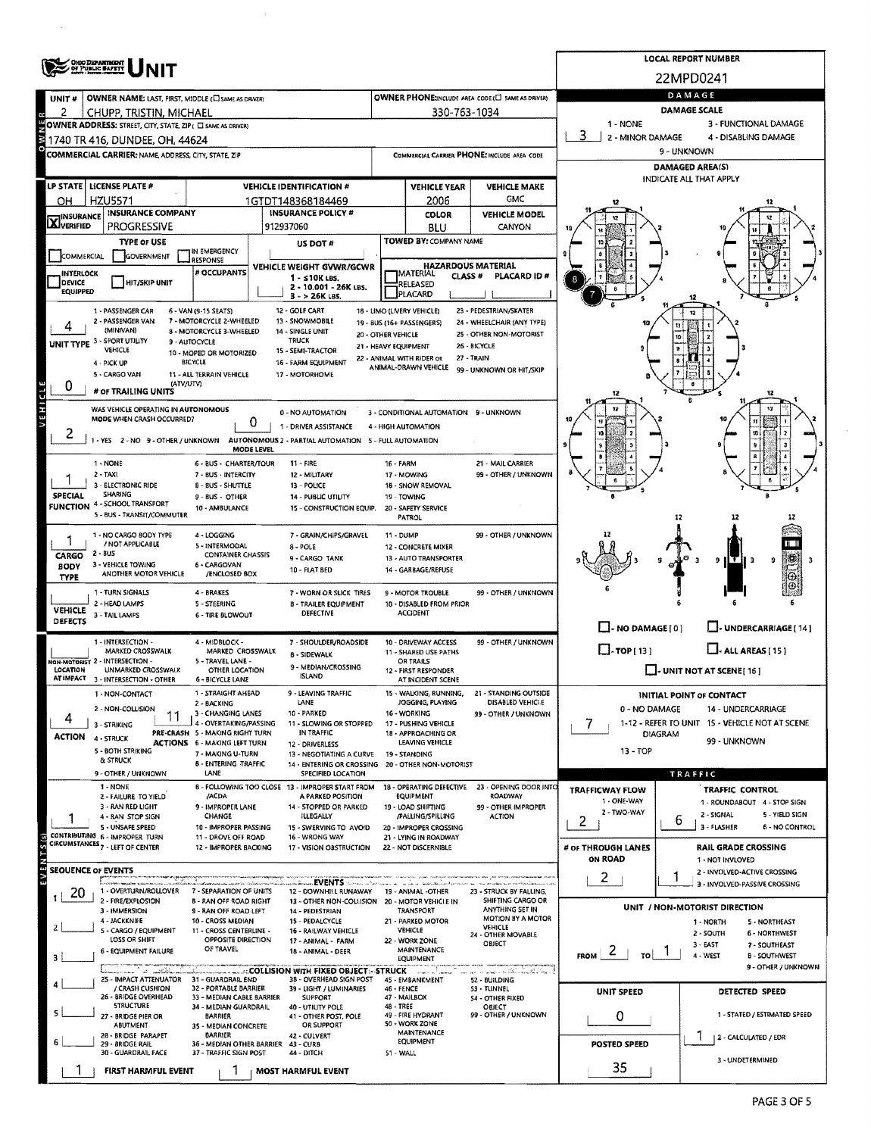|                            | <b>OHIO DIZPARTMENT</b><br>OF PUBLIC BAFETT                                     |                                                               | <b>LOCAL REPORT NUMBER</b>                                                                  |                                                                              |                                                             |                                                            |                                                                                    |                                                                  |                                                               |  |  |  |  |
|----------------------------|---------------------------------------------------------------------------------|---------------------------------------------------------------|---------------------------------------------------------------------------------------------|------------------------------------------------------------------------------|-------------------------------------------------------------|------------------------------------------------------------|------------------------------------------------------------------------------------|------------------------------------------------------------------|---------------------------------------------------------------|--|--|--|--|
|                            |                                                                                 |                                                               |                                                                                             |                                                                              |                                                             |                                                            | 22MPD0241                                                                          |                                                                  |                                                               |  |  |  |  |
| UNIT#                      | OWNER NAME: LAST, FIRST, MIDDLE (C) SAME AS DRIVER)                             |                                                               |                                                                                             |                                                                              |                                                             | <b>OWNER PHONE:INCLUDE AREA CODE(□ SAME AS DRIVER)</b>     |                                                                                    |                                                                  | DAMAGE                                                        |  |  |  |  |
| 2<br>R                     | CHUPP, TRISTIN, MICHAEL                                                         |                                                               |                                                                                             |                                                                              | 330-763-1034                                                |                                                            | <b>DAMAGE SCALE</b>                                                                |                                                                  |                                                               |  |  |  |  |
|                            | <b>BOWNER ADDRESS:</b> STREET, CITY, STATE, ZIP <sub>1</sub> (3) SAME AS DRIVER |                                                               |                                                                                             |                                                                              |                                                             |                                                            | 1 - NONE<br>3 - FUNCTIONAL DAMAGE<br>3<br>2 - MINOR DAMAGE<br>4 - DISABLING DAMAGE |                                                                  |                                                               |  |  |  |  |
|                            | COMMERCIAL CARRIER: NAME, ADDRESS, CITY, STATE, ZIP                             |                                                               |                                                                                             |                                                                              |                                                             | COMMERCIAL CARRIER PHONE: INCLUDE AREA CODE                | 9 - UNKNOWN                                                                        |                                                                  |                                                               |  |  |  |  |
|                            |                                                                                 |                                                               |                                                                                             |                                                                              | <b>DAMAGED AREA(S)</b>                                      |                                                            |                                                                                    |                                                                  |                                                               |  |  |  |  |
|                            | LP STATE   LICENSE PLATE #                                                      |                                                               | <b>VEHICLE IDENTIFICATION #</b>                                                             |                                                                              | <b>VEHICLE YEAR</b>                                         | <b>VEHICLE MAKE</b>                                        | INDICATE ALL THAT APPLY                                                            |                                                                  |                                                               |  |  |  |  |
| OH                         | <b>HZU5571</b>                                                                  |                                                               | 1GTDT148368184469                                                                           |                                                                              | 2006                                                        | GMC                                                        |                                                                                    |                                                                  |                                                               |  |  |  |  |
| <b>X</b> INSURANCE         | <b>INSURANCE COMPANY</b>                                                        |                                                               | <b>INSURANCE POLICY #</b>                                                                   | <b>COLOR</b><br><b>VEHICLE MODEL</b>                                         |                                                             |                                                            |                                                                                    |                                                                  |                                                               |  |  |  |  |
|                            | <b>PROGRESSIVE</b>                                                              |                                                               | 912937060                                                                                   |                                                                              | BLU                                                         | CANYON                                                     |                                                                                    |                                                                  |                                                               |  |  |  |  |
| COMMERCIAL                 | <b>TYPE OF USE</b><br>GOVERNMENT                                                | IN EMERGENCY                                                  | US DOT #                                                                                    | TOWED BY: COMPANY NAME                                                       |                                                             |                                                            |                                                                                    |                                                                  |                                                               |  |  |  |  |
| INTERLOCK                  |                                                                                 | <b>RESPONSE</b><br># OCCUPANTS                                | VEHICLE WEIGHT GVWR/GCWR                                                                    |                                                                              | <b>HAZARDOUS MATERIAL</b><br>MATERIAL<br>CLASS <sup>#</sup> | <b>PLACARD ID#</b>                                         |                                                                                    |                                                                  |                                                               |  |  |  |  |
| <b>DEVICE</b><br>EQUIPPED  | HIT/SKIP UNIT                                                                   |                                                               | $1 - 510K$ LBS.<br>2 - 10.001 - 26K LBS.                                                    |                                                                              | RELEASED                                                    |                                                            |                                                                                    |                                                                  |                                                               |  |  |  |  |
|                            |                                                                                 |                                                               | $3 - 26K$ LBS.<br>12 - GOLF CART                                                            |                                                                              | PLACARD                                                     | 23 - PEDESTRIAN/SKATER                                     |                                                                                    |                                                                  |                                                               |  |  |  |  |
|                            | 1 - PASSENGER CAR<br>2 - PASSENGER VAN                                          | 6 - VAN (9-15 SEATS)<br>7 - MOTORCYCLE 2-WHEELED              | 13 - SNOWMOBILE                                                                             |                                                                              | 18 - LIMO (LIVERY VEHICLE)<br>19 - BUS (16+ PASSENGERS)     | 24 - WHEELCHAIR (ANY TYPE)                                 | 10                                                                                 |                                                                  |                                                               |  |  |  |  |
|                            | (MINIVAN)<br>UNIT TYPE 3 - SPORT UTILITY                                        | 8 - MOTORCYCLE 3-WHEELED<br>9 - AUTOCYCLE                     | 14 - SINGLE UNIT<br>TRUCK                                                                   | 20 - OTHER VEHICLE                                                           |                                                             | 25 - OTHER NON-MOTORIST                                    |                                                                                    |                                                                  |                                                               |  |  |  |  |
|                            | VEHICLE                                                                         | 10 - MOPED OR MOTORIZED<br><b>BICYCLE</b>                     | 15 - SEMI-TRACTOR                                                                           | 21 - HEAVY EQUIPMENT                                                         | 22 - ANIMAL WITH RIDER OR                                   | 26 - BICYCLE<br>27 - TRAIN                                 |                                                                                    |                                                                  |                                                               |  |  |  |  |
|                            | 4 - PICK UP<br>5 - CARGO VAN                                                    | 11 - ALL TERRAIN VEHICLE                                      | 16 - FARM EQUIPMENT<br>17 - MOTORHOME                                                       |                                                                              | ANIMAL-DRAWN VEHICLE                                        | 99 - UNKNOWN OR HIT/SKIP                                   |                                                                                    |                                                                  |                                                               |  |  |  |  |
| 0                          | (ATV/UTV)<br># OF TRAILING UNITS                                                |                                                               |                                                                                             |                                                                              |                                                             |                                                            | 12                                                                                 |                                                                  | 12                                                            |  |  |  |  |
| VEHICLE                    | WAS VEHICLE OPERATING IN AUTONOMOUS                                             |                                                               |                                                                                             |                                                                              | 3 - CONDITIONAL AUTOMATION 9 - UNKNOWN                      |                                                            | 12                                                                                 |                                                                  |                                                               |  |  |  |  |
|                            | MODE WHEN CRASH OCCURRED?                                                       | 0                                                             | 0 - NO AUTOMATION<br>1 - DRIVER ASSISTANCE                                                  |                                                                              |                                                             |                                                            |                                                                                    |                                                                  |                                                               |  |  |  |  |
| ۷                          | 1 - YES 2 - NO 9 - OTHER / UNKNOWN                                              |                                                               |                                                                                             | 4 - HIGH AUTOMATION<br>AUTONOMOUS 2 - PARTIAL AUTOMATION 5 - FULL AUTOMATION |                                                             |                                                            |                                                                                    |                                                                  |                                                               |  |  |  |  |
|                            |                                                                                 | MODE LEVEL                                                    |                                                                                             |                                                                              |                                                             |                                                            |                                                                                    |                                                                  |                                                               |  |  |  |  |
|                            | 1 - NONE<br>$2 - TAXI$                                                          | 6 - BUS - CHARTER/TOUR<br>7 - BUS - INTERCITY                 | $11 - FIRE$<br>12 - MILITARY                                                                | 16 - FARM                                                                    | 17 - MOWING                                                 | 21 - MAIL CARRIER<br>99 - OTHER / UNKNOWN                  |                                                                                    |                                                                  |                                                               |  |  |  |  |
| <b>SPECIAL</b>             | 3 - ELECTRONIC RIDE<br><b>SHARING</b>                                           | 8 - BUS - SHUTTLE                                             | 13 - POLICE                                                                                 |                                                                              | 18 - SNOW REMOVAL                                           |                                                            |                                                                                    |                                                                  |                                                               |  |  |  |  |
|                            | FUNCTION 4 - SCHOOL TRANSPORT                                                   | 9 - BUS - OTHER<br>10 - AMBULANCE                             | 14 - PUBLIC UTILITY<br>15 - CONSTRUCTION EQUIP.                                             | 19 - TOWING<br>20 - SAFETY SERVICE                                           |                                                             |                                                            |                                                                                    |                                                                  |                                                               |  |  |  |  |
|                            | 5 - BUS - TRANSIT/COMMUTER                                                      |                                                               |                                                                                             |                                                                              | PATROL                                                      |                                                            |                                                                                    | 12                                                               |                                                               |  |  |  |  |
|                            | 1 - NO CARGO BODY TYPE<br>/ NOT APPLICABLE                                      | 4 - LOGGING<br>5 - INTERMODAL                                 | 7 - GRAIN/CHIPS/GRAVEL                                                                      | 11 - DUMP                                                                    |                                                             | 99 - OTHER / UNKNOWN                                       |                                                                                    |                                                                  |                                                               |  |  |  |  |
| CARGO                      | 2 - BUS                                                                         | <b>CONTAINER CHASSIS</b>                                      | $8 - POLE$<br>9 - CARGO TANK                                                                |                                                                              | 12 - CONCRETE MIXER<br>13 - AUTO TRANSPORTER                |                                                            |                                                                                    |                                                                  | 灘<br>9                                                        |  |  |  |  |
| <b>BODY</b><br><b>TYPE</b> | 3 - VEHICLE TOWING<br>ANOTHER MOTOR VEHICLE                                     | 6 - CARGOVAN<br>/ENCLOSED BOX                                 | 10 - FLAT BED                                                                               | 14 - GARBAGE/REFUSE                                                          |                                                             |                                                            |                                                                                    |                                                                  | Θ                                                             |  |  |  |  |
|                            | 1 - TURN SIGNALS                                                                | 4 - BRAKES                                                    | 7 - WORN OR SLICK TIRES                                                                     |                                                                              | 9 - MOTOR TROUBLE                                           | 99 - OTHER / UNKNOWN                                       |                                                                                    |                                                                  |                                                               |  |  |  |  |
| VEHICLE                    | 2 - HEAD LAMPS<br>3 - TAIL LAMPS                                                | 5 - STEERING<br><b>6 - TIRE BLOWOUT</b>                       | <b>B - TRAILER EQUIPMENT</b><br>DEFECTIVE                                                   |                                                                              | 10 - DISABLED FROM PRIOR<br><b>ACCIDENT</b>                 |                                                            |                                                                                    |                                                                  |                                                               |  |  |  |  |
| <b>DEFECTS</b>             |                                                                                 |                                                               |                                                                                             |                                                                              |                                                             |                                                            | $\Box$ - NO DAMAGE [ 0 ]                                                           |                                                                  | - UNDERCARRIAGE [ 14 ]                                        |  |  |  |  |
|                            | 1 - INTERSECTION -                                                              | 4 - MIDBLOCK -                                                | 7 - SHOULDER/ROADSIDE                                                                       | 10 - DRIVEWAY ACCESS                                                         | 99 - OTHER / UNKNOWN                                        | $\Box$ -TOP[13]<br>$\Box$ - ALL AREAS [ 15 ]               |                                                                                    |                                                                  |                                                               |  |  |  |  |
|                            | MARKED CROSSWALK<br>NON-MOTORIST 2 - INTERSECTION -                             | MARKED CROSSWALK<br>5 - TRAVEL LANE -                         | 8 - SIDEWALK<br>9 - MEDIAN/CROSSING                                                         | 11 - SHARED USE PATHS<br>OR TRAILS                                           |                                                             |                                                            |                                                                                    |                                                                  |                                                               |  |  |  |  |
| LOCATION                   | UNMARKED CROSSWALK<br>AT IMPACT 3 - INTERSECTION - OTHER                        | OTHER LOCATION<br>6 - BICYCLE LANE                            | ISLAND                                                                                      |                                                                              | 12 - FIRST RESPONDER<br>AT INCIDENT SCENE                   |                                                            |                                                                                    |                                                                  | $\Box$ - UNIT NOT AT SCENE [ 16 ]                             |  |  |  |  |
|                            | 1 - NON-CONTACT                                                                 | 1 - STRAIGHT AHEAD                                            | - LEAVING TRAFFIC                                                                           |                                                                              | WALKING, RUNNING,                                           | 21 - STANDING OUTSIDE                                      |                                                                                    |                                                                  | <b>INITIAL POINT OF CONTACT</b>                               |  |  |  |  |
|                            | 2 - NON-COLLISION                                                               | 2 - BACKING<br>3 - CHANGING LANES                             | LANE<br>10 - PARKED                                                                         |                                                                              | JOGGING, PLAYING<br>16 - WORKING                            | DISABLED VEHICLE<br>99 - OTHER / UNKNOWN                   | 0 - NO DAMAGE<br>14 - UNDERCARRIAGE                                                |                                                                  |                                                               |  |  |  |  |
| 4                          | 3 - STRIKING                                                                    | 4 - OVERTAKING/PASSING<br>PRE-CRASH 5 - MAKING RIGHT TURN     | 11 - SLOWING OR STOPPED<br>IN TRAFFIC                                                       |                                                                              | 17 - PUSHING VEHICLE<br>18 - APPROACHING OR                 |                                                            | 7                                                                                  | 1-12 - REFER TO UNIT 15 - VEHICLE NOT AT SCENE<br><b>DIAGRAM</b> |                                                               |  |  |  |  |
|                            | <b>ACTION 4 - STRUCK</b><br>5 - BOTH STRIKING                                   | <b>ACTIONS 6 - MAKING LEFT TURN</b>                           | 12 - DRIVERLESS                                                                             |                                                                              | LEAVING VEHICLE                                             |                                                            | 13 - TOP                                                                           |                                                                  | 99 - UNKNOWN                                                  |  |  |  |  |
|                            | & STRUCK                                                                        | 7 - MAKING U-TURN<br><b>B - ENTERING TRAFFIC</b>              | 13 - NEGOTIATING A CURVE 19 - STANDING<br>14 - ENTERING OR CROSSING 20 - OTHER NON-MOTORIST |                                                                              |                                                             |                                                            |                                                                                    |                                                                  |                                                               |  |  |  |  |
|                            | 9 - OTHER / UNKNOWN                                                             | LANE                                                          | SPECIFIED LOCATION                                                                          |                                                                              |                                                             |                                                            |                                                                                    |                                                                  | <b>TRAFFIC</b>                                                |  |  |  |  |
|                            | 1 - NONE<br>2 - FAILURE TO YIELD                                                | /ACDA                                                         | 8 - FOLLOWING TOO CLOSE 13 - IMPROPER START FROM<br>A PARKED POSITION                       |                                                                              | EQUIPMENT                                                   | 18 - OPERATING DEFECTIVE 23 - OPENING DOOR INTO<br>ROADWAY | <b>TRAFFICWAY FLOW</b><br>1 - ONE-WAY                                              |                                                                  | <b>TRAFFIC CONTROL</b><br>1 - ROUNDABOUT 4 - STOP SIGN        |  |  |  |  |
|                            | 3 - RAN RED LIGHT<br>4 - RAN STOP SIGN                                          | 9 - IMPROPER LANE<br>CHANGE                                   | 14 - STOPPED OR PARKED<br>ILLEGALLY                                                         |                                                                              | 19 - LOAD SHIFTING<br>/FALLING/SPILLING                     | 99 - OTHER IMPROPER<br><b>ACTION</b>                       | 2 - TWO-WAY                                                                        |                                                                  | 2 - SIGNAL<br>5 - YIELD SIGN                                  |  |  |  |  |
|                            | 5 - UNSAFE SPEED<br>CONTRIBUTING 6 - IMPROPER TURN                              | 10 - IMPROPER PASSING                                         | 15 - SWERVING TO AVOID                                                                      |                                                                              | 20 - IMPROPER CROSSING                                      |                                                            | $\overline{2}$                                                                     | b                                                                | 3 - FLASHER<br>6 - NO CONTROL                                 |  |  |  |  |
| $E$ V E N T S $(s)$        | CIRCUMSTANCES <sub>7</sub> - LEFT OF CENTER                                     | 11 - DROVE OFF ROAD<br>12 - IMPROPER BACKING                  | 16 - WRONG WAY<br>17 - VISION OBSTRUCTION                                                   |                                                                              | 21 - LYING IN ROADWAY<br>22 - NOT DISCERNIBLE               |                                                            | # of THROUGH LANES                                                                 |                                                                  | <b>RAIL GRADE CROSSING</b>                                    |  |  |  |  |
|                            | <b>SEOUENCE OF EVENTS</b>                                                       |                                                               |                                                                                             |                                                                              |                                                             |                                                            | ON ROAD                                                                            |                                                                  | 1 - NOT INVLOVED                                              |  |  |  |  |
|                            |                                                                                 |                                                               |                                                                                             |                                                                              |                                                             |                                                            | $\overline{2}$                                                                     |                                                                  | 2 - INVOLVED-ACTIVE CROSSING<br>3 - INVOLVED-PASSIVE CROSSING |  |  |  |  |
| 20                         | 1 - OVERTURN/ROLLOVER<br>2 - FIRE/EXPLOSION                                     | 7 - SEPARATION OF UNITS<br><b>B - RAN OFF ROAD RIGHT</b>      | 12 - DOWNHILL RUNAWAY<br>13 - OTHER NON-COLLISION                                           |                                                                              | 19 - ANIMAL -OTHER<br>20 - MOTOR VEHICLE IN                 | 23 - STRUCK BY FALLING,<br>SHIFTING CARGO OR               |                                                                                    |                                                                  |                                                               |  |  |  |  |
|                            | 3 - IMMERSION<br>4 - JACKKNIFE                                                  | S - RAN OFF ROAD LEFT<br>10 - CROSS MEDIAN                    | 14 - PEDESTRIAN<br>15 - PEDALCYCLE                                                          |                                                                              | TRANSPORT<br>21 - PARKED MOTOR                              | ANYTHING SET IN<br>MOTION BY A MOTOR                       |                                                                                    |                                                                  | UNIT / NON-MOTORIST DIRECTION<br>5 - NORTHEAST<br>1 - NORTH   |  |  |  |  |
|                            | 5 - CARGO / EQUIPMENT                                                           | 11 - CROSS CENTERLINE -                                       | 16 - RAILWAY VEHICLE                                                                        |                                                                              | <b>VEHICLE</b>                                              | VEHICLE<br>24 - OTHER MOVABLE                              |                                                                                    |                                                                  | $2 - SOLTH$<br>6 - NORTHWEST                                  |  |  |  |  |
|                            | LOSS OR SHIFT<br>6 - EQUIPMENT FAILURE                                          | OPPOSITE DIRECTION<br>OF TRAVEL                               | 17 - ANIMAL - FARM<br>18 - ANIMAL - DEER                                                    |                                                                              | 22 - WORK ZONE<br><b>MAINTENANCE</b>                        | OBJECT                                                     | $F_{ROM}$   2  <br>TO                                                              |                                                                  | $3 - EAST$<br>7 - SOUTHEAST<br>4 - WEST                       |  |  |  |  |
| з                          | amana na matikisa                                                               |                                                               | <b>A LE ANGELESION WITH FIXED OBJECT - STRUCK</b>                                           |                                                                              | EQUIPMENT                                                   | أبالهم أدائمها لأستفقاها بالتهابي                          |                                                                                    |                                                                  | <b>B-SOUTHWEST</b><br>9 - OTHER / UNKNOWN                     |  |  |  |  |
|                            | 25 - IMPACT ATTENUATOR<br>/ CRASH CUSHION                                       | 31 - GUARDRAIL END<br>32 - PORTABLE BARRIER                   | 38 - OVERHEAD SIGN POST<br>39 - LIGHT / LUMINARIES                                          | 46 - FENCE                                                                   | 45 - EMBANKMENT                                             | 52 - BUILDING<br>S3 - TUNNEL                               |                                                                                    |                                                                  |                                                               |  |  |  |  |
|                            | 26 - BRIDGE OVERHEAD<br><b>STRUCTURE</b>                                        | 33 - MEDIAN CABLE BARRIER                                     | <b>SUPPORT</b>                                                                              | 48 - TREE                                                                    | 47 - MAILBOX                                                | <b>S4 - OTHER FIXED</b>                                    | UNIT SPEED                                                                         |                                                                  | DETECTED SPEED                                                |  |  |  |  |
|                            | 27 - BRIDGE PIER OR                                                             | 34 - MEDIAN GUARDRAIL<br><b>BARRIER</b>                       | 40 - UTILITY POLE<br>41 - OTHER POST, POLE                                                  |                                                                              | 49 - FIRE HYDRANT                                           | OBIECT<br>99 - OTHER / UNKNOWN                             | 0                                                                                  |                                                                  | 1 - STATED / ESTIMATED SPEED                                  |  |  |  |  |
|                            | ABUTMENT<br>28 - BRIDGE PARAPET                                                 | 35 - MEDIAN CONCRETE<br>BARRIER                               | OR SUPPORT<br>42 - CULVERT                                                                  |                                                                              | 50 - WORK ZONE<br>MAINTENANCE                               |                                                            |                                                                                    |                                                                  | 2 - CALCULATED / EDR                                          |  |  |  |  |
|                            | 29 - BRIDGE RAIL<br>30 - GUARDRAIL FACE                                         | 36 - MEDIAN OTHER BARRIER 43 - CURB<br>37 - TRAFFIC SIGN POST | 44 - DITCH                                                                                  | EQUIPMENT<br>51 WALL                                                         |                                                             |                                                            | <b>POSTED SPEED</b>                                                                |                                                                  |                                                               |  |  |  |  |
|                            | <b>FIRST HARMFUL EVENT</b>                                                      |                                                               | <b>MOST HARMFUL EVENT</b>                                                                   |                                                                              |                                                             |                                                            | 35                                                                                 |                                                                  | 3 - UNDETERMINED                                              |  |  |  |  |
|                            |                                                                                 |                                                               |                                                                                             |                                                                              |                                                             |                                                            |                                                                                    |                                                                  |                                                               |  |  |  |  |

 $\bar{z}$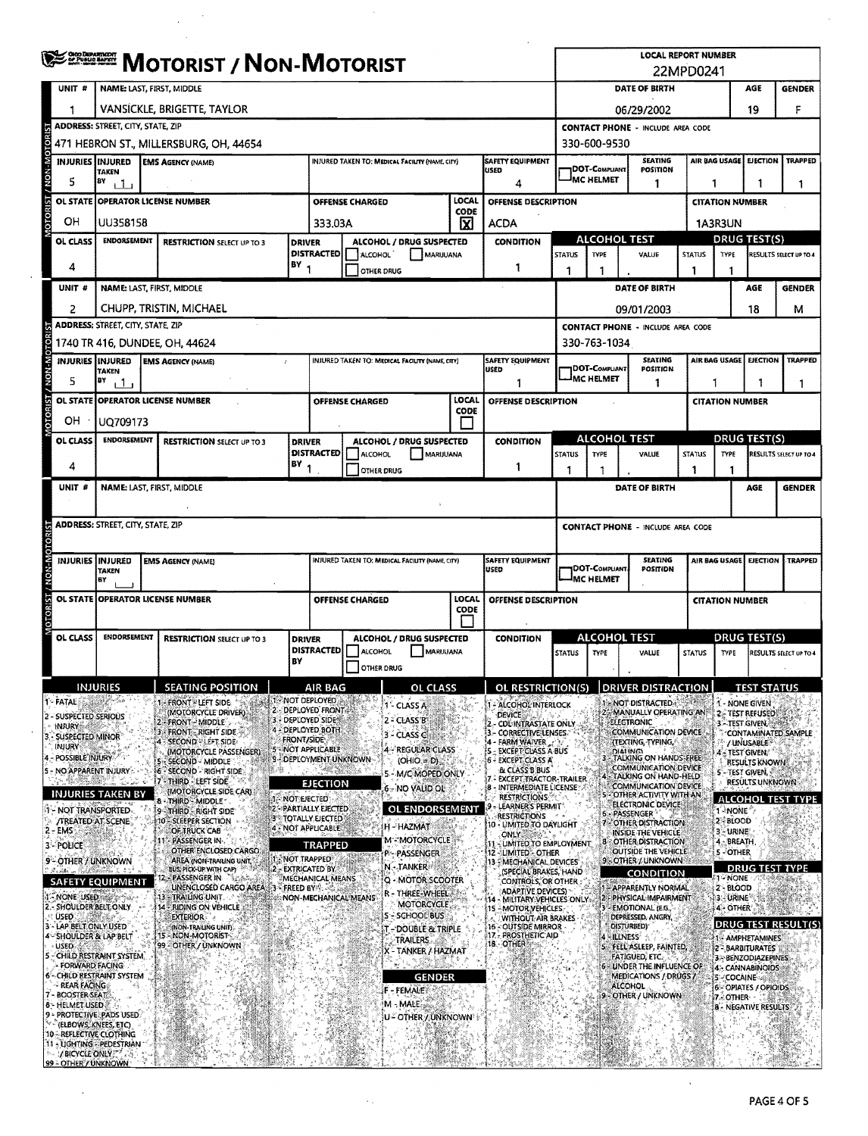|                    |                                                                    | <b>WEINER MOTORIST / NON-MOTORIST</b>                                                                                                                      |  |                                                     |                      |                                                                      |                                                                                   |                                                 |                      |                                                                                                         | <b>LOCAL REPORT NUMBER</b><br>22MPD0241     |                            |                                                                        |                        |                                                                               |                                          |                          |  |
|--------------------|--------------------------------------------------------------------|------------------------------------------------------------------------------------------------------------------------------------------------------------|--|-----------------------------------------------------|----------------------|----------------------------------------------------------------------|-----------------------------------------------------------------------------------|-------------------------------------------------|----------------------|---------------------------------------------------------------------------------------------------------|---------------------------------------------|----------------------------|------------------------------------------------------------------------|------------------------|-------------------------------------------------------------------------------|------------------------------------------|--------------------------|--|
|                    | UNIT #                                                             | <b>NAME: LAST, FIRST, MIDDLE</b>                                                                                                                           |  |                                                     |                      |                                                                      |                                                                                   |                                                 |                      |                                                                                                         |                                             |                            | DATE OF BIRTH                                                          |                        |                                                                               | AGE                                      | <b>GENDER</b>            |  |
|                    |                                                                    | VANSICKLE, BRIGETTE, TAYLOR                                                                                                                                |  |                                                     |                      |                                                                      |                                                                                   |                                                 |                      |                                                                                                         | 19<br>F<br>06/29/2002                       |                            |                                                                        |                        |                                                                               |                                          |                          |  |
|                    |                                                                    | <b>ADDRESS: STREET, CITY, STATE, ZIP</b>                                                                                                                   |  |                                                     |                      |                                                                      |                                                                                   |                                                 |                      |                                                                                                         | <b>CONTACT PHONE - INCLUDE AREA CODE</b>    |                            |                                                                        |                        |                                                                               |                                          |                          |  |
| <b>AOTOM-MOTOR</b> |                                                                    | 471 HEBRON ST., MILLERSBURG, OH, 44654                                                                                                                     |  |                                                     |                      |                                                                      |                                                                                   |                                                 |                      |                                                                                                         |                                             | 330-600-9530               |                                                                        |                        |                                                                               |                                          |                          |  |
|                    |                                                                    | <b>SAFETY EQUIPMENT</b><br><b>INJURIES IINJURED</b><br><b>EMS AGENCY (NAME)</b><br>INJURED TAKEN TO: MEDICAL FACILITY (NAME, CITY)<br>USED<br><b>TAKEN</b> |  |                                                     |                      |                                                                      |                                                                                   |                                                 |                      |                                                                                                         |                                             | 1DOT-Compliant             | <b>SEATING</b><br><b>POSITION</b>                                      |                        | AIR BAG USAGE                                                                 | <b>EJECTION</b>                          | <b>TRAPPED</b>           |  |
|                    | 5                                                                  | BY<br>$\Box$                                                                                                                                               |  |                                                     |                      |                                                                      |                                                                                   |                                                 |                      | 4                                                                                                       |                                             | MC HELMET                  | 1                                                                      |                        | 1                                                                             | 1                                        | 1                        |  |
| <b>MOTORIST</b>    | OL STATE                                                           |                                                                                                                                                            |  | <b>OPERATOR LICENSE NUMBER</b>                      |                      |                                                                      | OFFENSE CHARGED                                                                   |                                                 | LOCAL<br>CODE        | OFFENSE DESCRIPTION                                                                                     |                                             |                            |                                                                        |                        | <b>CITATION NUMBER</b>                                                        |                                          |                          |  |
|                    | OН                                                                 | UU358158                                                                                                                                                   |  |                                                     |                      | 333.03A                                                              |                                                                                   |                                                 | ΙXΙ                  | <b>ACDA</b>                                                                                             |                                             |                            | 1A3R3UN                                                                |                        |                                                                               |                                          |                          |  |
|                    | OL CLASS                                                           | <b>ENDORSEMENT</b>                                                                                                                                         |  | <b>RESTRICTION SELECT UP TO 3</b>                   | <b>DRIVER</b>        | <b>DISTRACTED</b>                                                    | ALCOHOL                                                                           | ALCOHOL / DRUG SUSPECTED<br>MARUUANA            |                      | <b>CONDITION</b>                                                                                        | <b>STATUS</b>                               | <b>TYPE</b>                | <b>ALCOHOL TEST</b><br>VALUE                                           |                        | <b>DRUG TEST(S)</b><br><b>STATUS</b><br><b>TYPE</b><br>RESULTS SELECT UP TO 4 |                                          |                          |  |
|                    | 4                                                                  |                                                                                                                                                            |  |                                                     | IBY <sub>1</sub>     |                                                                      | OTHER DRUG                                                                        |                                                 |                      | 1                                                                                                       | 1                                           | -1                         |                                                                        | 1                      | -1                                                                            |                                          |                          |  |
|                    | UNIT <sup>#</sup>                                                  |                                                                                                                                                            |  | NAME: LAST, FIRST, MIDDLE                           |                      |                                                                      |                                                                                   |                                                 |                      |                                                                                                         |                                             |                            | DATE OF BIRTH                                                          |                        |                                                                               | AGE                                      | <b>GENDER</b>            |  |
|                    | 2                                                                  |                                                                                                                                                            |  | CHUPP, TRISTIN, MICHAEL                             |                      |                                                                      |                                                                                   |                                                 |                      |                                                                                                         |                                             |                            | 09/01/2003                                                             |                        |                                                                               | 18                                       | м                        |  |
|                    |                                                                    | <b>ADDRESS: STREET, CITY, STATE, ZIP</b>                                                                                                                   |  |                                                     |                      |                                                                      |                                                                                   |                                                 |                      |                                                                                                         |                                             |                            | <b>CONTACT PHONE - INCLUDE AREA CODE</b>                               |                        |                                                                               |                                          |                          |  |
|                    |                                                                    |                                                                                                                                                            |  | 1740 TR 416, DUNDEE, OH, 44624                      |                      |                                                                      |                                                                                   |                                                 |                      |                                                                                                         |                                             | 330-763-1034               |                                                                        |                        |                                                                               |                                          |                          |  |
| W-NON /            |                                                                    | INJURIES <b>I</b> INJURED<br>TAKEN                                                                                                                         |  | <b>EMS AGENCY (NAME)</b>                            | t.                   |                                                                      |                                                                                   | INJURED TAKEN TO: MEDICAL FACILITY (NAME, CITY) |                      | <b>SAFETY EQUIPMENT</b><br>USED                                                                         |                                             | 1DOT-Compliant             | <b>SEATING</b><br>POSITION                                             |                        | AIR BAG USAGE<br><b>EJECTION</b><br><b>TRAPPED</b>                            |                                          |                          |  |
|                    | 5                                                                  | BY<br>بال                                                                                                                                                  |  |                                                     |                      |                                                                      |                                                                                   |                                                 |                      |                                                                                                         |                                             | <sup>I</sup> MC HELMET     | 1                                                                      |                        | 1<br>1                                                                        |                                          |                          |  |
| <b>OTORIST</b>     |                                                                    |                                                                                                                                                            |  | OL STATE OPERATOR LICENSE NUMBER                    |                      |                                                                      | OFFENSE CHARGED                                                                   |                                                 | LOCAL<br>CODE        | OFFENSE DESCRIPTION                                                                                     |                                             |                            |                                                                        |                        | <b>CITATION NUMBER</b>                                                        |                                          |                          |  |
|                    | OН                                                                 | UQ709173                                                                                                                                                   |  |                                                     |                      |                                                                      |                                                                                   |                                                 |                      |                                                                                                         |                                             |                            |                                                                        |                        |                                                                               |                                          |                          |  |
|                    | <b>OL CLASS</b>                                                    | <b>ENDORSEMENT</b>                                                                                                                                         |  | <b>RESTRICTION SELECT UP TO 3</b>                   | <b>DRIVER</b>        | <b>DISTRACTED</b>                                                    | ALCOHOL / DRUG SUSPECTED<br><b>CONDITION</b><br>ALCOHOL<br><b>MARIJUANA</b>       |                                                 |                      |                                                                                                         | <b>STATUS</b>                               | TYPE                       | <b>ALCOHOL TEST</b><br>VALUE                                           | <b>STATUS</b>          | <b>DRUG TEST(S)</b><br>TYPE<br>RESULTS SELECT UP TO 4                         |                                          |                          |  |
|                    | 4                                                                  |                                                                                                                                                            |  |                                                     | BY<br>-1             | OTHER DRUG                                                           |                                                                                   |                                                 | 1                    | 1                                                                                                       |                                             |                            | 1                                                                      | 1                      |                                                                               |                                          |                          |  |
|                    | UNIT #                                                             |                                                                                                                                                            |  | NAME: LAST, FIRST, MIDDLE                           |                      |                                                                      |                                                                                   |                                                 |                      |                                                                                                         |                                             |                            | DATE OF BIRTH                                                          |                        |                                                                               | <b>AGE</b>                               | <b>GENDER</b>            |  |
|                    |                                                                    |                                                                                                                                                            |  |                                                     |                      |                                                                      |                                                                                   |                                                 |                      |                                                                                                         |                                             |                            |                                                                        |                        |                                                                               |                                          |                          |  |
|                    |                                                                    | <b>ADDRESS: STREET, CITY, STATE, ZIP</b>                                                                                                                   |  |                                                     |                      |                                                                      |                                                                                   |                                                 |                      |                                                                                                         |                                             |                            | <b>CONTACT PHONE - INCLUDE AREA CODE</b>                               |                        |                                                                               |                                          |                          |  |
|                    |                                                                    |                                                                                                                                                            |  |                                                     |                      |                                                                      |                                                                                   |                                                 |                      |                                                                                                         |                                             | AIR BAG USAGE              |                                                                        |                        |                                                                               |                                          |                          |  |
| <b>M-NON</b>       |                                                                    | INJURIES INJURED<br><b>EMS AGENCY (NAME)</b><br><b>TAKEN</b>                                                                                               |  |                                                     |                      |                                                                      | INJURED TAKEN TO: MEDICAL FACIUTY (NAME, CITY)<br><b>SAFETY EQUIPMENT</b><br>USED |                                                 |                      |                                                                                                         |                                             | DOT-COMPLIANT<br>MC HELMET | <b>SEATING</b><br><b>POSITION</b>                                      |                        |                                                                               | EJECTION                                 | TRAPPED                  |  |
|                    |                                                                    | BY                                                                                                                                                         |  | OL STATE OPERATOR LICENSE NUMBER                    |                      | <b>LOCAL</b><br><b>OFFENSE CHARGED</b><br><b>OFFENSE DESCRIPTION</b> |                                                                                   |                                                 |                      |                                                                                                         |                                             |                            |                                                                        | <b>CITATION NUMBER</b> |                                                                               |                                          |                          |  |
|                    |                                                                    |                                                                                                                                                            |  |                                                     |                      | <b>CODE</b>                                                          |                                                                                   |                                                 |                      |                                                                                                         |                                             |                            |                                                                        |                        |                                                                               |                                          |                          |  |
|                    | <b>OL CLASS</b>                                                    | <b>ENDORSEMENT</b>                                                                                                                                         |  | <b>RESTRICTION SELECT UP TO 3</b>                   | <b>DRIVER</b>        |                                                                      |                                                                                   | ALCOHOL / DRUG SUSPECTED                        |                      | <b>CONDITION</b>                                                                                        | ALCOHOL TEST                                |                            |                                                                        |                        | <b>DRUG TEST(S)</b>                                                           |                                          |                          |  |
|                    |                                                                    |                                                                                                                                                            |  |                                                     | BY                   | <b>DISTRACTED</b>                                                    | ALCOHOL                                                                           | <b>MARIJUANA</b>                                |                      |                                                                                                         | <b>STATUS</b>                               | <b>TYPE</b>                | VALUE                                                                  | <b>STATUS</b>          | <b>TYPE</b>                                                                   |                                          | RESULTS SELECT UP TO 4   |  |
|                    |                                                                    |                                                                                                                                                            |  |                                                     |                      |                                                                      | OTHER DRUG                                                                        |                                                 |                      |                                                                                                         |                                             |                            |                                                                        |                        |                                                                               |                                          |                          |  |
| 1 - FATAL          |                                                                    | <b>NJURIES</b>                                                                                                                                             |  | <b>SEATING POSITION</b><br><b>I-FRONT-LEFT SIDE</b> |                      | AIR BAG<br><b>A 1 - NOT DEPLOYED</b>                                 |                                                                                   | OL.                                             |                      | OL RESTRICTION(S)                                                                                       |                                             |                            | <b>DRIVER DISTRA</b><br>1 - NOT DISTRACTED.                            | <b>CTION</b>           |                                                                               | <b>TEST STATU</b><br>1 - None given      |                          |  |
|                    | 2 - SUSPECTED SERIOUS                                              |                                                                                                                                                            |  | (MOTORCYCLE DRIVER):<br>- FRONT - MIDDLE            |                      | 2 - DEPLOYED FRONT<br>3 - DEPLOYED SIDES                             |                                                                                   | 3 - CLASS A<br>$2 - CLASSB$                     |                      | - ALCOHOL INTERLOCK<br><b>DEVICE</b><br><b>CDUINTRASTATE ONLY</b>                                       |                                             |                            | MANUALLY OPERATING AN<br><b>ELECTRONIC</b>                             |                        |                                                                               | 2-TEST REFUSED<br>3 - TEST GIVEN, SMR    |                          |  |
|                    | <b>INJURY</b><br>SUSPECTED MINOR                                   |                                                                                                                                                            |  | 3 - FRONT - RIGHT SIDE<br><b>SECOND - LEFT SIDE</b> | <b>FRONT/SIDE</b>    | - DEPLOYED BOTH                                                      |                                                                                   | $3 - CLASS \subset$                             |                      | <b>CORRECTIVE LENSES</b><br><b>FARM WAIVER</b>                                                          |                                             |                            | <b>COMMUNICATION DEVICE</b><br>(TEXTING, TYPING,                       |                        |                                                                               | / UNUSABLE:                              | CONTAMINATED SAMPLE      |  |
|                    | INJURY<br>4 - POSSIBLE INJURY                                      |                                                                                                                                                            |  | (MOTORCYCLE PASSENGER)<br>SECOND - MIDDLE           |                      | - NOT APPLICABLE<br>9 - DEPLOYMENT UNKNOWN                           |                                                                                   | 4 - REGULAR CLASS<br>$(OHIO = D)$               |                      | EXCEPT CUASS A BUS<br>6 - EXCEPT CLASS A                                                                |                                             |                            | <b>DIALING</b><br>TALKING ON HANDS-FREE                                |                        |                                                                               | 4 - TEST GIVEN/<br><b>RESULTS KNOWNS</b> |                          |  |
|                    |                                                                    | 5 - NO APPARENT INJURY                                                                                                                                     |  | <b>SECOND - RIGHT SIDE</b><br>- THIRD - LEFT SIDE   |                      | EJECTION                                                             |                                                                                   | 5 - M/C MOPED ONLY                              |                      | <b>&amp; CLASS B BUS</b><br><b>EXCEPT TRACTOR-TRAILER</b>                                               |                                             |                            | COMMUNICATION DEVICE<br>4 - TALKING ON HAND-HELD                       |                        |                                                                               | 5-TEST GIVEN,<br><b>RESULTS UNKNOWN</b>  |                          |  |
|                    |                                                                    | <b>INJURIES TAKEN BY</b>                                                                                                                                   |  | (MOTORCYCLE SIDE CAR)<br>THIRD - MIDDLE             | 1-NOT EJECTED        |                                                                      |                                                                                   | 6 - NO VALID OL                                 |                      | : INTERMEDIATE LICENSE<br><b>RESTRICTIONS:</b>                                                          |                                             |                            | COMMUNICATION DEVICE.<br>OTHER ACTIVITY WITH AN                        |                        |                                                                               |                                          | <b>ALCOHOL TEST TYPE</b> |  |
|                    |                                                                    | 1 - NOT TRANSPORTED<br><b>/TREATED AT SCENE</b>                                                                                                            |  | 9-THIRD - RIGHT SIDE<br>10 - SLEEPER SECTION        |                      | 2-PARTIALLY EJECTED<br>3 - TOTALLY EJECTED                           |                                                                                   | <b>OL ENDORSEMENT</b>                           |                      | LEARNER'S PERMIT*<br>restrictions                                                                       |                                             |                            | ELECTRONIC DEVICE<br>6 - PASSENGER <sup>3</sup><br>7-OTHER DISTRACTION |                        | 1-NONE<br>2 BLOOD                                                             |                                          |                          |  |
|                    | <b>EMS</b>                                                         |                                                                                                                                                            |  | OF TRUCK CAB<br>PASSENGER IN                        |                      | 4 - NOT APPLICABLE                                                   |                                                                                   | H - HAZMAT<br>M - MOTORCYCLE                    |                      | 10 - UMITED TO DAYLIGHT<br>only:                                                                        |                                             |                            | INSIDE THE VEHICLE<br>- OTHER DISTRACTION                              |                        | - URINE                                                                       |                                          |                          |  |
|                    | 3 - POLICE                                                         | 9 - OTHER / UNKNOWN                                                                                                                                        |  | OTHER ENCLOSED CARGO<br>AREA (NON-TRAILING UNIT)    |                      | TRAPPED<br>p:- Passenger<br>1. NOT TRAPPED                           |                                                                                   |                                                 | 12 - LIMITED - OTHER | - LIMITED TO EMPLOYMENT<br><b>OUTSIDE THE VEHICLE</b><br>9 - OTHER / UNKNOWN<br>13 - MECHANICAL DEVICES |                                             |                            |                                                                        | 4 - BREATH<br>5-OTHER  |                                                                               |                                          |                          |  |
|                    |                                                                    | <b>SAFETY EQUIPMENT</b>                                                                                                                                    |  | <b>BUS, PICK-UP WITH CAPY</b><br>- PASSENGER IN     |                      | 2 - EXTRICATED BY<br>MECHANICAL MEANS                                |                                                                                   | N-TANKER<br>Q - MOTOR SCOOTER                   |                      | (SPECIAL BRAKES, HAND<br><b>CONTROLS, OR OTHER</b>                                                      |                                             |                            | <b>CONDITION</b>                                                       |                        | া ∻NONE                                                                       | <b>DRUG TEST TYPE</b>                    |                          |  |
|                    | 1 - NONE USED                                                      |                                                                                                                                                            |  | UNENCLOSED CARGO AREA<br>- TRAILING UNIT.<br>13.    | <b>EFREED BY SEE</b> |                                                                      | NON-MECHANICAL MEANS                                                              | R - THREE-WHEEL<br>MOTORCYCLE                   |                      | ADAPTIVE DEVICES)<br>MILITARY VEHICLES ONLY                                                             |                                             |                            | APPARENTLY NORMAL<br>- PHYSICAL IMPAIRMENT                             |                        | 2-BLOOD<br>3 - URINE                                                          |                                          |                          |  |
|                    | <b>USED</b>                                                        | SHOULDER BELT ONLY<br>14 - RIDING ON VEHICLE<br><b>EXTERIOR</b>                                                                                            |  |                                                     |                      |                                                                      |                                                                                   | S - SCHOOL BUS                                  |                      | 15 - MOTOR VEHICLES<br>WITHOUT-AIR BRAKES                                                               | <b>EMOTIONAL (E.G.</b><br>DEPRESSED, ANGRY, |                            |                                                                        |                        | 4 OTHER                                                                       |                                          |                          |  |
|                    |                                                                    | LAP BELT ONLY USED<br>(NON-TRAILING UNIT)<br>15 - NON-MOTORIST<br>4 - SHOULDER & LAP BELT                                                                  |  |                                                     |                      |                                                                      |                                                                                   | T - DOUBLE & TRIPLE<br>TRAILERS                 |                      | <b>16 - OUTSIDE MIRROR</b><br>17 - PROSTHETIC AID<br>18 OTHER                                           | <b>DISTURBED)</b><br>- ILLNESS"             |                            |                                                                        |                        | <b>DRUG TEST RESULT(S</b><br>- AMPHETAMINES                                   |                                          |                          |  |
|                    | <b>USED</b>                                                        | 5 - CHILD RESTRAINT SYSTEM.                                                                                                                                |  | 99 - OTHER / UNKNOWN                                |                      |                                                                      |                                                                                   | X - TANKER / HAZMAT                             |                      | 5 - FELL ASLEEP, FAINTED,<br>FATIGUED, ETC.                                                             |                                             |                            | 2 - BARBITURATES II<br>3 - BENZODIAZEPINES                             |                        |                                                                               |                                          |                          |  |
|                    | FORWARD FACING                                                     | 6 - CHILD RESTRAINT SYSTEM                                                                                                                                 |  |                                                     |                      |                                                                      |                                                                                   | <b>GENDER</b>                                   |                      |                                                                                                         |                                             |                            | <b>6 - UNDER THE INFLUENCE OF</b><br>MEDICATIONS / DRUGS /             |                        | <b>5-COCAINE</b>                                                              | 4 - CANNABINOIDS                         |                          |  |
|                    | REAR FACING<br><b>BOOSTER-SEAT</b><br><b>B-HELMET USED &amp; A</b> |                                                                                                                                                            |  |                                                     |                      |                                                                      |                                                                                   | F - FEMALE<br>M - MALE                          |                      |                                                                                                         |                                             |                            | <b>ALCOHOL</b><br>9 - OTHER / UNKNOWN                                  |                        | 7. OTHER                                                                      | 6 - OPIATES / OPIOIDS                    |                          |  |
|                    |                                                                    | PROTECTIVE PADS USED.<br>(ELBOWS, KNEES, ETC)                                                                                                              |  |                                                     |                      |                                                                      |                                                                                   | <b>U- OTHER / UNKNOWN</b>                       |                      |                                                                                                         |                                             |                            |                                                                        |                        |                                                                               | <b>B - NEGATIVE RESULTS</b>              |                          |  |
|                    |                                                                    | 10 - REFLECTIVE CLOTHING                                                                                                                                   |  |                                                     |                      |                                                                      |                                                                                   |                                                 |                      |                                                                                                         |                                             |                            |                                                                        |                        |                                                                               |                                          |                          |  |
|                    |                                                                    | 11 - LIGHTING - PEDESTRIAN<br>/ BICYCLE ONLY<br>99 - OTHER / UNKNOWN                                                                                       |  |                                                     |                      |                                                                      |                                                                                   |                                                 |                      |                                                                                                         |                                             |                            |                                                                        |                        |                                                                               |                                          |                          |  |

 $\sim$   $\sim$ 

 $\frac{1}{2} \frac{1}{2} \frac{1}{2}$ 

 $\frac{1}{\sqrt{2}}$ 

 $\bar{z}$ 

 $\mathcal{L}_{\mathbf{A}}$ 

 $\mathcal{L}^{\mathcal{L}}$ 

 $\mathcal{A}$ 

 $\hat{\boldsymbol{\beta}}$